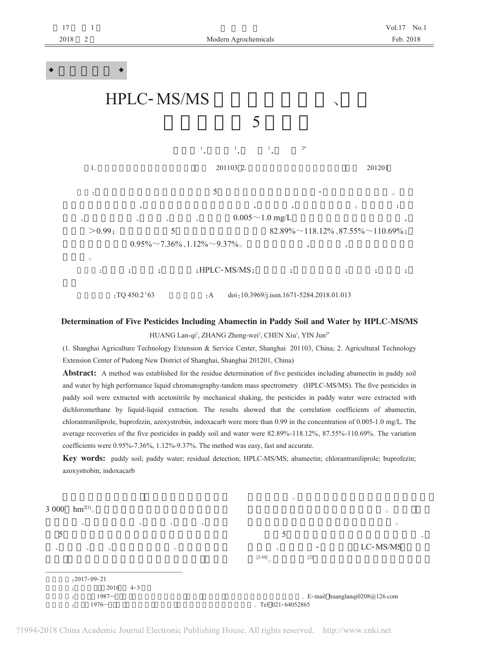

## Determination of Five Pesticides Including Abamectin in Paddy Soil and Water by HPLC-MS/MS HUANG Lan-qi<sup>1</sup>, ZHANG Zheng-wei<sup>1</sup>, CHEN Xiu<sup>1</sup>, YIN Jun<sup>2\*</sup>

(1. Shanghai Agriculture Technology Extension & Service Center, Shanghai 201103, China; 2. Agricultural Technology Extension Center of Pudong New District of Shanghai, Shanghai 201201, China)

**Abstract:** A method was established for the residue determination of five pesticides including abamectin in paddy soil and water by high performance liquid chromatography-tandem mass spectrometry (HPLC-MS/MS). The five pesticides in paddy soil were extracted with acetonitrile by mechanical shaking, the pesticides in paddy water were extracted with dichloromethane by liquid-liquid extraction. The results showed that the correlation coefficients of abamectin, chlorantraniliprole, buprofezin, azoxystrobin, indoxacarb were more than 0.99 in the concentration of 0.005-1.0 mg/L. The average recoveries of the five pesticides in paddy soil and water were 82.89%-118.12%, 87.55%-110.69%. The variation coefficients were 0.95%-7.36%, 1.12%-9.37%. The method was easy, fast and accurate.

Key words: paddy soil; paddy water; residual detection; HPLC-MS/MS; abamectin; chlorantraniliprole; buprofezin; azoxystrobin; indoxacarb



?1994-2018 China Academic Journal Electronic Publishing House. All rights reserved. http://www.cnki.net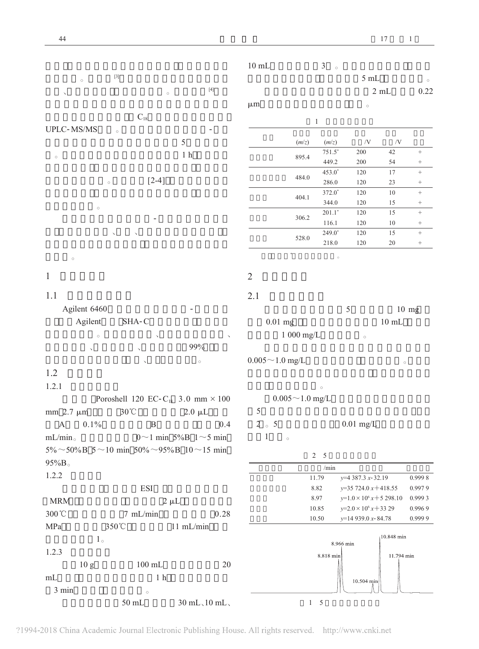| $\left[ 3\right]$<br>$5\:\rm{mL}$<br>$\circ$<br>$\circ$<br>$\left[4\right]$<br>$2\ \mathrm{mL}$<br>0.22<br>$\circ$<br>$\mu$ m<br>$\circ$<br>$C_{18}$<br>$\,1$<br>UPLC-MS/MS<br>$\circ$<br>5<br>$/\rm{V}$<br>$/{\rm V}$<br>(m/z)<br>(m/z)<br>$751.5*$<br>$42\,$<br>200<br>$^+$<br>1 <sub>h</sub><br>895.4<br>$\circ$<br>449.2<br>200<br>54<br>$^{+}$<br>$17\,$<br>$453.0*$<br>120<br>$\! + \!\!\!\!$<br>484.0<br>$[2-4]$<br>286.0<br>120<br>23<br>$\circ$<br>$\! + \!$<br>372.0*<br>$10\,$<br>120<br>$\! + \!\!\!\!$<br>404.1<br>344.0<br>120<br>15<br>$\! + \!\!\!\!$<br>$\circ$<br>$201.1^\ast$<br>15<br>120<br>$\! + \!\!\!\!$<br>306.2<br>116.1<br>120<br>10<br>$\! + \!\!\!\!$<br>$249.0*$<br>120<br>15<br>$^+$<br>528.0<br>218.0<br>120<br>$20\,$<br>$^+$<br>×<br>$_{\circ}$<br>$\circ$<br>$\sqrt{2}$<br>1.1<br>2.1<br>Agilent 6460<br>5<br>$10$ mg<br>Agilent<br>SHA-C<br>$0.01$ mg<br>$10\text{ }\mathrm{mL}$<br>1 000 mg/L<br>$\circ$<br>$\mathbf{v}$<br>$\circ$<br>99%<br>$\checkmark$<br>$0.005 \sim 1.0$ mg/L<br>$\circ$<br>$\circ$<br>1.2<br>1.2.1<br>$\circ$<br>$0.005 \sim 1.0$ mg/L<br>Poroshell 120 EC-C <sub>18</sub> 3.0 mm $\times$ 100<br>$30^{\circ}$ C<br>$\sqrt{5}$<br>$2.0 \mu L$<br>mm $2.7 \mu m$<br>$2\,$ $_\circ$ $\,$ $5\,$<br>$0.01$ mg/L<br>0.4<br>$\mathbf{A}$<br>0.1%<br>$\mathbf B$<br>$\mathbf{1}$<br>mL/min <sub>o</sub><br>$0 \sim 1$ min 5%B $1 \sim 5$ min<br>$\circ$<br>$5\% \sim 50\% B$ 5 $\sim$ 10 min 50% $\sim$ 95% B 10 $\sim$ 15 min<br>2 <sub>5</sub><br>$95\%B_{\circ}$<br>/min<br>1.2.2<br>11.79<br>0.9998<br>$y=4$ 387.3 $x-32.19$<br><b>ESI</b><br>8.82<br>$y=35724.0 x+418.55$<br>0.9979<br>8.97<br>$y=1.0\times10^6 x+5298.10$<br>0.9993<br><b>MRM</b><br>$2 \mu L$<br>10.85<br>$y=2.0\times10^6 x+3329$<br>0.9969<br>300°C<br>7 mL/min<br>0.28<br>10.50<br>0.9999<br>$y=14939.0 x-84.78$<br>350°C<br>MPa<br>11 mL/min<br>10.848 min<br>1 <sub>o</sub><br>8.966 min<br>1.2.3<br>8.818 min<br>11.794 min<br>$100$ mL<br>20<br>10 <sub>g</sub><br>$1\,$ h<br>10.504 min<br>3 min<br>$\circ$<br>$50\:\rm{mL}$<br>$30$ mL $\backsim$ 10 mL $\backsim$<br>$1 \quad 5$ |              |  | $10\:\rm{mL}$ | $\mathfrak{Z}$<br>$\circ$ |  |  |
|------------------------------------------------------------------------------------------------------------------------------------------------------------------------------------------------------------------------------------------------------------------------------------------------------------------------------------------------------------------------------------------------------------------------------------------------------------------------------------------------------------------------------------------------------------------------------------------------------------------------------------------------------------------------------------------------------------------------------------------------------------------------------------------------------------------------------------------------------------------------------------------------------------------------------------------------------------------------------------------------------------------------------------------------------------------------------------------------------------------------------------------------------------------------------------------------------------------------------------------------------------------------------------------------------------------------------------------------------------------------------------------------------------------------------------------------------------------------------------------------------------------------------------------------------------------------------------------------------------------------------------------------------------------------------------------------------------------------------------------------------------------------------------------------------------------------------------------------------------------------------------------------------------------------------------------------------------------------------------------------------------------------------------------------------------------------------------------------------------------------|--------------|--|---------------|---------------------------|--|--|
|                                                                                                                                                                                                                                                                                                                                                                                                                                                                                                                                                                                                                                                                                                                                                                                                                                                                                                                                                                                                                                                                                                                                                                                                                                                                                                                                                                                                                                                                                                                                                                                                                                                                                                                                                                                                                                                                                                                                                                                                                                                                                                                        |              |  |               |                           |  |  |
|                                                                                                                                                                                                                                                                                                                                                                                                                                                                                                                                                                                                                                                                                                                                                                                                                                                                                                                                                                                                                                                                                                                                                                                                                                                                                                                                                                                                                                                                                                                                                                                                                                                                                                                                                                                                                                                                                                                                                                                                                                                                                                                        |              |  |               |                           |  |  |
|                                                                                                                                                                                                                                                                                                                                                                                                                                                                                                                                                                                                                                                                                                                                                                                                                                                                                                                                                                                                                                                                                                                                                                                                                                                                                                                                                                                                                                                                                                                                                                                                                                                                                                                                                                                                                                                                                                                                                                                                                                                                                                                        |              |  |               |                           |  |  |
|                                                                                                                                                                                                                                                                                                                                                                                                                                                                                                                                                                                                                                                                                                                                                                                                                                                                                                                                                                                                                                                                                                                                                                                                                                                                                                                                                                                                                                                                                                                                                                                                                                                                                                                                                                                                                                                                                                                                                                                                                                                                                                                        |              |  |               |                           |  |  |
|                                                                                                                                                                                                                                                                                                                                                                                                                                                                                                                                                                                                                                                                                                                                                                                                                                                                                                                                                                                                                                                                                                                                                                                                                                                                                                                                                                                                                                                                                                                                                                                                                                                                                                                                                                                                                                                                                                                                                                                                                                                                                                                        |              |  |               |                           |  |  |
|                                                                                                                                                                                                                                                                                                                                                                                                                                                                                                                                                                                                                                                                                                                                                                                                                                                                                                                                                                                                                                                                                                                                                                                                                                                                                                                                                                                                                                                                                                                                                                                                                                                                                                                                                                                                                                                                                                                                                                                                                                                                                                                        |              |  |               |                           |  |  |
|                                                                                                                                                                                                                                                                                                                                                                                                                                                                                                                                                                                                                                                                                                                                                                                                                                                                                                                                                                                                                                                                                                                                                                                                                                                                                                                                                                                                                                                                                                                                                                                                                                                                                                                                                                                                                                                                                                                                                                                                                                                                                                                        |              |  |               |                           |  |  |
|                                                                                                                                                                                                                                                                                                                                                                                                                                                                                                                                                                                                                                                                                                                                                                                                                                                                                                                                                                                                                                                                                                                                                                                                                                                                                                                                                                                                                                                                                                                                                                                                                                                                                                                                                                                                                                                                                                                                                                                                                                                                                                                        |              |  |               |                           |  |  |
|                                                                                                                                                                                                                                                                                                                                                                                                                                                                                                                                                                                                                                                                                                                                                                                                                                                                                                                                                                                                                                                                                                                                                                                                                                                                                                                                                                                                                                                                                                                                                                                                                                                                                                                                                                                                                                                                                                                                                                                                                                                                                                                        |              |  |               |                           |  |  |
|                                                                                                                                                                                                                                                                                                                                                                                                                                                                                                                                                                                                                                                                                                                                                                                                                                                                                                                                                                                                                                                                                                                                                                                                                                                                                                                                                                                                                                                                                                                                                                                                                                                                                                                                                                                                                                                                                                                                                                                                                                                                                                                        |              |  |               |                           |  |  |
|                                                                                                                                                                                                                                                                                                                                                                                                                                                                                                                                                                                                                                                                                                                                                                                                                                                                                                                                                                                                                                                                                                                                                                                                                                                                                                                                                                                                                                                                                                                                                                                                                                                                                                                                                                                                                                                                                                                                                                                                                                                                                                                        |              |  |               |                           |  |  |
|                                                                                                                                                                                                                                                                                                                                                                                                                                                                                                                                                                                                                                                                                                                                                                                                                                                                                                                                                                                                                                                                                                                                                                                                                                                                                                                                                                                                                                                                                                                                                                                                                                                                                                                                                                                                                                                                                                                                                                                                                                                                                                                        |              |  |               |                           |  |  |
|                                                                                                                                                                                                                                                                                                                                                                                                                                                                                                                                                                                                                                                                                                                                                                                                                                                                                                                                                                                                                                                                                                                                                                                                                                                                                                                                                                                                                                                                                                                                                                                                                                                                                                                                                                                                                                                                                                                                                                                                                                                                                                                        |              |  |               |                           |  |  |
|                                                                                                                                                                                                                                                                                                                                                                                                                                                                                                                                                                                                                                                                                                                                                                                                                                                                                                                                                                                                                                                                                                                                                                                                                                                                                                                                                                                                                                                                                                                                                                                                                                                                                                                                                                                                                                                                                                                                                                                                                                                                                                                        |              |  |               |                           |  |  |
|                                                                                                                                                                                                                                                                                                                                                                                                                                                                                                                                                                                                                                                                                                                                                                                                                                                                                                                                                                                                                                                                                                                                                                                                                                                                                                                                                                                                                                                                                                                                                                                                                                                                                                                                                                                                                                                                                                                                                                                                                                                                                                                        |              |  |               |                           |  |  |
|                                                                                                                                                                                                                                                                                                                                                                                                                                                                                                                                                                                                                                                                                                                                                                                                                                                                                                                                                                                                                                                                                                                                                                                                                                                                                                                                                                                                                                                                                                                                                                                                                                                                                                                                                                                                                                                                                                                                                                                                                                                                                                                        |              |  |               |                           |  |  |
|                                                                                                                                                                                                                                                                                                                                                                                                                                                                                                                                                                                                                                                                                                                                                                                                                                                                                                                                                                                                                                                                                                                                                                                                                                                                                                                                                                                                                                                                                                                                                                                                                                                                                                                                                                                                                                                                                                                                                                                                                                                                                                                        |              |  |               |                           |  |  |
|                                                                                                                                                                                                                                                                                                                                                                                                                                                                                                                                                                                                                                                                                                                                                                                                                                                                                                                                                                                                                                                                                                                                                                                                                                                                                                                                                                                                                                                                                                                                                                                                                                                                                                                                                                                                                                                                                                                                                                                                                                                                                                                        |              |  |               |                           |  |  |
|                                                                                                                                                                                                                                                                                                                                                                                                                                                                                                                                                                                                                                                                                                                                                                                                                                                                                                                                                                                                                                                                                                                                                                                                                                                                                                                                                                                                                                                                                                                                                                                                                                                                                                                                                                                                                                                                                                                                                                                                                                                                                                                        | $\mathbf{1}$ |  |               |                           |  |  |
|                                                                                                                                                                                                                                                                                                                                                                                                                                                                                                                                                                                                                                                                                                                                                                                                                                                                                                                                                                                                                                                                                                                                                                                                                                                                                                                                                                                                                                                                                                                                                                                                                                                                                                                                                                                                                                                                                                                                                                                                                                                                                                                        |              |  |               |                           |  |  |
|                                                                                                                                                                                                                                                                                                                                                                                                                                                                                                                                                                                                                                                                                                                                                                                                                                                                                                                                                                                                                                                                                                                                                                                                                                                                                                                                                                                                                                                                                                                                                                                                                                                                                                                                                                                                                                                                                                                                                                                                                                                                                                                        |              |  |               |                           |  |  |
|                                                                                                                                                                                                                                                                                                                                                                                                                                                                                                                                                                                                                                                                                                                                                                                                                                                                                                                                                                                                                                                                                                                                                                                                                                                                                                                                                                                                                                                                                                                                                                                                                                                                                                                                                                                                                                                                                                                                                                                                                                                                                                                        |              |  |               |                           |  |  |
|                                                                                                                                                                                                                                                                                                                                                                                                                                                                                                                                                                                                                                                                                                                                                                                                                                                                                                                                                                                                                                                                                                                                                                                                                                                                                                                                                                                                                                                                                                                                                                                                                                                                                                                                                                                                                                                                                                                                                                                                                                                                                                                        |              |  |               |                           |  |  |
|                                                                                                                                                                                                                                                                                                                                                                                                                                                                                                                                                                                                                                                                                                                                                                                                                                                                                                                                                                                                                                                                                                                                                                                                                                                                                                                                                                                                                                                                                                                                                                                                                                                                                                                                                                                                                                                                                                                                                                                                                                                                                                                        |              |  |               |                           |  |  |
|                                                                                                                                                                                                                                                                                                                                                                                                                                                                                                                                                                                                                                                                                                                                                                                                                                                                                                                                                                                                                                                                                                                                                                                                                                                                                                                                                                                                                                                                                                                                                                                                                                                                                                                                                                                                                                                                                                                                                                                                                                                                                                                        |              |  |               |                           |  |  |
|                                                                                                                                                                                                                                                                                                                                                                                                                                                                                                                                                                                                                                                                                                                                                                                                                                                                                                                                                                                                                                                                                                                                                                                                                                                                                                                                                                                                                                                                                                                                                                                                                                                                                                                                                                                                                                                                                                                                                                                                                                                                                                                        |              |  |               |                           |  |  |
|                                                                                                                                                                                                                                                                                                                                                                                                                                                                                                                                                                                                                                                                                                                                                                                                                                                                                                                                                                                                                                                                                                                                                                                                                                                                                                                                                                                                                                                                                                                                                                                                                                                                                                                                                                                                                                                                                                                                                                                                                                                                                                                        |              |  |               |                           |  |  |
|                                                                                                                                                                                                                                                                                                                                                                                                                                                                                                                                                                                                                                                                                                                                                                                                                                                                                                                                                                                                                                                                                                                                                                                                                                                                                                                                                                                                                                                                                                                                                                                                                                                                                                                                                                                                                                                                                                                                                                                                                                                                                                                        |              |  |               |                           |  |  |
|                                                                                                                                                                                                                                                                                                                                                                                                                                                                                                                                                                                                                                                                                                                                                                                                                                                                                                                                                                                                                                                                                                                                                                                                                                                                                                                                                                                                                                                                                                                                                                                                                                                                                                                                                                                                                                                                                                                                                                                                                                                                                                                        |              |  |               |                           |  |  |
|                                                                                                                                                                                                                                                                                                                                                                                                                                                                                                                                                                                                                                                                                                                                                                                                                                                                                                                                                                                                                                                                                                                                                                                                                                                                                                                                                                                                                                                                                                                                                                                                                                                                                                                                                                                                                                                                                                                                                                                                                                                                                                                        |              |  |               |                           |  |  |
|                                                                                                                                                                                                                                                                                                                                                                                                                                                                                                                                                                                                                                                                                                                                                                                                                                                                                                                                                                                                                                                                                                                                                                                                                                                                                                                                                                                                                                                                                                                                                                                                                                                                                                                                                                                                                                                                                                                                                                                                                                                                                                                        |              |  |               |                           |  |  |
|                                                                                                                                                                                                                                                                                                                                                                                                                                                                                                                                                                                                                                                                                                                                                                                                                                                                                                                                                                                                                                                                                                                                                                                                                                                                                                                                                                                                                                                                                                                                                                                                                                                                                                                                                                                                                                                                                                                                                                                                                                                                                                                        |              |  |               |                           |  |  |
|                                                                                                                                                                                                                                                                                                                                                                                                                                                                                                                                                                                                                                                                                                                                                                                                                                                                                                                                                                                                                                                                                                                                                                                                                                                                                                                                                                                                                                                                                                                                                                                                                                                                                                                                                                                                                                                                                                                                                                                                                                                                                                                        |              |  |               |                           |  |  |
|                                                                                                                                                                                                                                                                                                                                                                                                                                                                                                                                                                                                                                                                                                                                                                                                                                                                                                                                                                                                                                                                                                                                                                                                                                                                                                                                                                                                                                                                                                                                                                                                                                                                                                                                                                                                                                                                                                                                                                                                                                                                                                                        |              |  |               |                           |  |  |
|                                                                                                                                                                                                                                                                                                                                                                                                                                                                                                                                                                                                                                                                                                                                                                                                                                                                                                                                                                                                                                                                                                                                                                                                                                                                                                                                                                                                                                                                                                                                                                                                                                                                                                                                                                                                                                                                                                                                                                                                                                                                                                                        |              |  |               |                           |  |  |
|                                                                                                                                                                                                                                                                                                                                                                                                                                                                                                                                                                                                                                                                                                                                                                                                                                                                                                                                                                                                                                                                                                                                                                                                                                                                                                                                                                                                                                                                                                                                                                                                                                                                                                                                                                                                                                                                                                                                                                                                                                                                                                                        |              |  |               |                           |  |  |
|                                                                                                                                                                                                                                                                                                                                                                                                                                                                                                                                                                                                                                                                                                                                                                                                                                                                                                                                                                                                                                                                                                                                                                                                                                                                                                                                                                                                                                                                                                                                                                                                                                                                                                                                                                                                                                                                                                                                                                                                                                                                                                                        |              |  |               |                           |  |  |
|                                                                                                                                                                                                                                                                                                                                                                                                                                                                                                                                                                                                                                                                                                                                                                                                                                                                                                                                                                                                                                                                                                                                                                                                                                                                                                                                                                                                                                                                                                                                                                                                                                                                                                                                                                                                                                                                                                                                                                                                                                                                                                                        |              |  |               |                           |  |  |
|                                                                                                                                                                                                                                                                                                                                                                                                                                                                                                                                                                                                                                                                                                                                                                                                                                                                                                                                                                                                                                                                                                                                                                                                                                                                                                                                                                                                                                                                                                                                                                                                                                                                                                                                                                                                                                                                                                                                                                                                                                                                                                                        |              |  |               |                           |  |  |
|                                                                                                                                                                                                                                                                                                                                                                                                                                                                                                                                                                                                                                                                                                                                                                                                                                                                                                                                                                                                                                                                                                                                                                                                                                                                                                                                                                                                                                                                                                                                                                                                                                                                                                                                                                                                                                                                                                                                                                                                                                                                                                                        |              |  |               |                           |  |  |
|                                                                                                                                                                                                                                                                                                                                                                                                                                                                                                                                                                                                                                                                                                                                                                                                                                                                                                                                                                                                                                                                                                                                                                                                                                                                                                                                                                                                                                                                                                                                                                                                                                                                                                                                                                                                                                                                                                                                                                                                                                                                                                                        |              |  |               |                           |  |  |
|                                                                                                                                                                                                                                                                                                                                                                                                                                                                                                                                                                                                                                                                                                                                                                                                                                                                                                                                                                                                                                                                                                                                                                                                                                                                                                                                                                                                                                                                                                                                                                                                                                                                                                                                                                                                                                                                                                                                                                                                                                                                                                                        |              |  |               |                           |  |  |
|                                                                                                                                                                                                                                                                                                                                                                                                                                                                                                                                                                                                                                                                                                                                                                                                                                                                                                                                                                                                                                                                                                                                                                                                                                                                                                                                                                                                                                                                                                                                                                                                                                                                                                                                                                                                                                                                                                                                                                                                                                                                                                                        |              |  |               |                           |  |  |
|                                                                                                                                                                                                                                                                                                                                                                                                                                                                                                                                                                                                                                                                                                                                                                                                                                                                                                                                                                                                                                                                                                                                                                                                                                                                                                                                                                                                                                                                                                                                                                                                                                                                                                                                                                                                                                                                                                                                                                                                                                                                                                                        |              |  |               |                           |  |  |
|                                                                                                                                                                                                                                                                                                                                                                                                                                                                                                                                                                                                                                                                                                                                                                                                                                                                                                                                                                                                                                                                                                                                                                                                                                                                                                                                                                                                                                                                                                                                                                                                                                                                                                                                                                                                                                                                                                                                                                                                                                                                                                                        |              |  |               |                           |  |  |
|                                                                                                                                                                                                                                                                                                                                                                                                                                                                                                                                                                                                                                                                                                                                                                                                                                                                                                                                                                                                                                                                                                                                                                                                                                                                                                                                                                                                                                                                                                                                                                                                                                                                                                                                                                                                                                                                                                                                                                                                                                                                                                                        | mL           |  |               |                           |  |  |
|                                                                                                                                                                                                                                                                                                                                                                                                                                                                                                                                                                                                                                                                                                                                                                                                                                                                                                                                                                                                                                                                                                                                                                                                                                                                                                                                                                                                                                                                                                                                                                                                                                                                                                                                                                                                                                                                                                                                                                                                                                                                                                                        |              |  |               |                           |  |  |
|                                                                                                                                                                                                                                                                                                                                                                                                                                                                                                                                                                                                                                                                                                                                                                                                                                                                                                                                                                                                                                                                                                                                                                                                                                                                                                                                                                                                                                                                                                                                                                                                                                                                                                                                                                                                                                                                                                                                                                                                                                                                                                                        |              |  |               |                           |  |  |

?1994-2018 China Academic Journal Electronic Publishing House. All rights reserved. http://www.cnki.net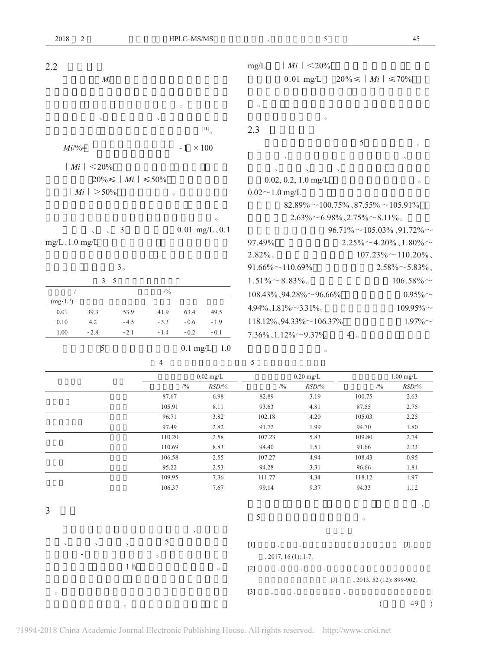$2.2$ 

 $|Mi| < 20\%$ 

 $\lambda$ 

 $mg/L$ 

 $\sqrt{5}$ 

|                     | Mi                |                            |                  |                        |                                              | $0.01$ mg/L           | $20\% \leq  Mi  \leq 70\%$                           |                                |  |  |
|---------------------|-------------------|----------------------------|------------------|------------------------|----------------------------------------------|-----------------------|------------------------------------------------------|--------------------------------|--|--|
|                     |                   |                            | $\circ$          |                        | $\circ$                                      |                       |                                                      |                                |  |  |
|                     |                   |                            |                  |                        |                                              | $\circ$               |                                                      |                                |  |  |
|                     |                   |                            |                  | $[11]$                 | 2.3                                          |                       |                                                      |                                |  |  |
| $Mi$ /%=            |                   |                            |                  | $-1 \times 100$        |                                              |                       | 5                                                    | $\circ$                        |  |  |
|                     |                   |                            |                  |                        |                                              |                       |                                                      |                                |  |  |
|                     | $Mi$   $\lt 20\%$ |                            |                  |                        |                                              |                       |                                                      |                                |  |  |
|                     |                   | $20\% \leq  Mi  \leq 50\%$ |                  |                        |                                              | $0.02, 0.2, 1.0$ mg/L |                                                      | $\circ$                        |  |  |
|                     | $ Mi  > 50\%$     |                            | $\circ$          |                        | $0.02 \sim 1.0$ mg/L                         |                       |                                                      |                                |  |  |
|                     |                   |                            |                  |                        |                                              |                       | $82.89\% \sim 100.75\% \, \Im 87.55\% \sim 105.91\%$ |                                |  |  |
|                     |                   |                            |                  | $\circ$                |                                              |                       | $2.63\% \sim 6.98\% \cdot 2.75\% \sim 8.11\%$        |                                |  |  |
|                     |                   | 3                          |                  | $0.01$ mg/L $\,0.1$    |                                              |                       | $96.71\% \sim 105.03\%$ , 91.72% ~                   |                                |  |  |
| $mg/L$ , 1.0 mg/L   |                   |                            |                  |                        | 97.49%                                       |                       | $2.25\% \sim 4.20\%$ , 1.80% $\sim$                  |                                |  |  |
|                     |                   |                            |                  |                        | $2.82\%$                                     |                       |                                                      | $107.23\% \sim 110.20\%$       |  |  |
|                     |                   | 3 <sub>o</sub>             |                  |                        | $91.66\% \sim 110.69\%$                      |                       |                                                      | $2.58\% \sim 5.83\%$           |  |  |
|                     | $\mathfrak{Z}$    | $5\overline{5}$            |                  |                        | $1.51\% \sim 8.83\%$                         |                       |                                                      | $106.58\%$                     |  |  |
|                     |                   |                            | /9/0             |                        | $108.43\%$ , 94.28% ~ 96.66%                 |                       |                                                      | $0.95\%$ ~                     |  |  |
| $(mg \cdot L^{-1})$ |                   |                            |                  |                        | $4.94\%$ , $1.81\%$ $3.31\%$                 |                       |                                                      | $109.95\%$                     |  |  |
| 0.01                | 39.3              | 53.9                       | 41.9<br>63.4     | 49.5                   |                                              |                       |                                                      |                                |  |  |
| 0.10                | 4.2               | $-4.5$                     | $-3.3$<br>$-0.6$ | $-1.9$                 | $118.12\%$ , $94.33\%$ ~ $106.37\%$          |                       |                                                      | $1.97\%$ ~                     |  |  |
| 1.00                | $-2.8$            | $-2.1$                     | $-1.4$<br>$-0.2$ | $-0.1$                 | $7.36\%$ , 1.12% ~ 9.37%                     |                       | 4 <sub>o</sub>                                       |                                |  |  |
|                     | 5                 |                            |                  | $0.1 \text{ mg/L}$ 1.0 |                                              | $\circ$               |                                                      |                                |  |  |
|                     |                   |                            | $\overline{4}$   |                        | 5                                            |                       |                                                      |                                |  |  |
|                     |                   |                            |                  | $0.02$ mg/L            |                                              | $0.20$ mg/L           |                                                      | $1.00$ mg/L                    |  |  |
|                     |                   |                            | $/9/_{0}$        | RSD/%                  | $/ {^0\!\!}/_0$                              | RSD/%                 | $/ {^0\!/}_0$                                        | $RSD\text{/}\text{/}\text{/}o$ |  |  |
|                     |                   |                            | 87.67            | 6.98                   | 82.89                                        | 3.19                  | 100.75                                               | 2.63                           |  |  |
|                     |                   |                            | 105.91           | 8.11                   | 93.63                                        | 4.81                  | 87.55                                                | 2.75                           |  |  |
|                     |                   |                            | 96.71            | 3.82                   | 102.18                                       | 4.20                  | 105.03                                               | 2.25                           |  |  |
|                     |                   |                            | 97.49            | 2.82                   | 91.72                                        | 1.99                  | 94.70<br>109.80                                      | 1.80                           |  |  |
|                     |                   |                            | 110.20<br>110.69 | 2.58<br>8.83           | 107.23<br>94.40                              | 5.83<br>1.51          | 91.66                                                | 2.74<br>2.23                   |  |  |
|                     |                   |                            | 106.58           | 2.55                   | 107.27                                       | 4.94                  | 108.43                                               | 0.95                           |  |  |
|                     |                   |                            | 95.22            | 2.53                   | 94.28                                        | 3.31                  | 96.66                                                | 1.81                           |  |  |
|                     |                   |                            | 109.95           | 7.36                   | 111.77                                       | 4.34                  | 118.12                                               | 1.97                           |  |  |
|                     |                   |                            | 106.37           | 7.67                   | 99.14                                        | 9.37                  | 94.33                                                | 1.12                           |  |  |
| $\overline{3}$      |                   |                            |                  |                        |                                              |                       |                                                      | $\checkmark$                   |  |  |
|                     |                   |                            |                  | $\checkmark$           | 5                                            |                       | $\circ$                                              |                                |  |  |
|                     |                   |                            | $\sqrt{5}$       |                        | $[1]$<br>$, \qquad \qquad .$                 |                       |                                                      | $[J].$                         |  |  |
|                     |                   |                            | $\circ$          |                        | , 2017, 16 (1): 1-7.                         |                       |                                                      |                                |  |  |
|                     |                   | 1 <sub>h</sub>             |                  |                        |                                              |                       |                                                      |                                |  |  |
|                     |                   |                            |                  | $\circ$                | $[2]$<br>$\overline{\phantom{a}}$            |                       |                                                      |                                |  |  |
|                     |                   |                            |                  |                        |                                              |                       | $[J].$<br>, 2013, 52 (12): 899-902.                  |                                |  |  |
| $\circ$             |                   |                            |                  |                        | $[3]$<br>$\overline{\phantom{a}}$<br>$\cdot$ |                       | $\sim$                                               |                                |  |  |
|                     |                   | $\circ$                    |                  |                        |                                              |                       |                                                      | 49                             |  |  |

?1994-2018 China Academic Journal Electronic Publishing House. All rights reserved. http://www.cnki.net